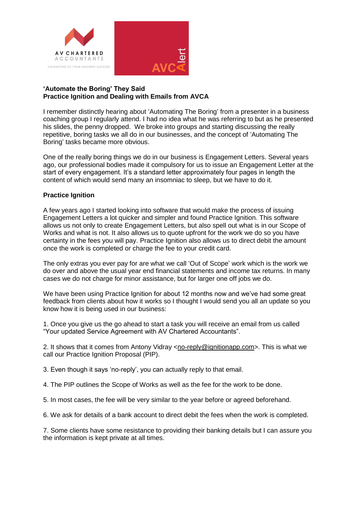

## **'Automate the Boring' They Said Practice Ignition and Dealing with Emails from AVCA**

I remember distinctly hearing about 'Automating The Boring' from a presenter in a business coaching group I regularly attend. I had no idea what he was referring to but as he presented his slides, the penny dropped. We broke into groups and starting discussing the really repetitive, boring tasks we all do in our businesses, and the concept of 'Automating The Boring' tasks became more obvious.

One of the really boring things we do in our business is Engagement Letters. Several years ago, our professional bodies made it compulsory for us to issue an Engagement Letter at the start of every engagement. It's a standard letter approximately four pages in length the content of which would send many an insomniac to sleep, but we have to do it.

## **Practice Ignition**

A few years ago I started looking into software that would make the process of issuing Engagement Letters a lot quicker and simpler and found Practice Ignition. This software allows us not only to create Engagement Letters, but also spell out what is in our Scope of Works and what is not. It also allows us to quote upfront for the work we do so you have certainty in the fees you will pay. Practice Ignition also allows us to direct debit the amount once the work is completed or charge the fee to your credit card.

The only extras you ever pay for are what we call 'Out of Scope' work which is the work we do over and above the usual year end financial statements and income tax returns. In many cases we do not charge for minor assistance, but for larger one off jobs we do.

We have been using Practice Ignition for about 12 months now and we've had some great feedback from clients about how it works so I thought I would send you all an update so you know how it is being used in our business:

1. Once you give us the go ahead to start a task you will receive an email from us called "Your updated Service Agreement with AV Chartered Accountants".

2. It shows that it comes from Antony Vidray [<no-reply@ignitionapp.com>](mailto:no-reply@ignitionapp.com). This is what we call our Practice Ignition Proposal (PIP).

3. Even though it says 'no-reply', you can actually reply to that email.

4. The PIP outlines the Scope of Works as well as the fee for the work to be done.

5. In most cases, the fee will be very similar to the year before or agreed beforehand.

6. We ask for details of a bank account to direct debit the fees when the work is completed.

7. Some clients have some resistance to providing their banking details but I can assure you the information is kept private at all times.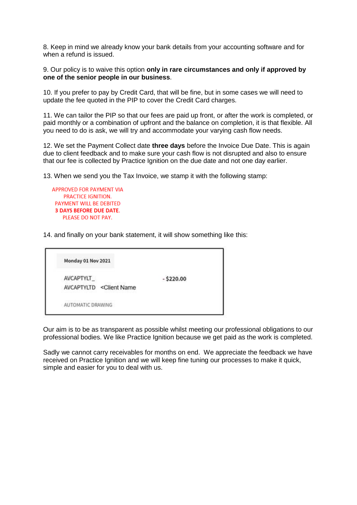8. Keep in mind we already know your bank details from your accounting software and for when a refund is issued.

9. Our policy is to waive this option **only in rare circumstances and only if approved by one of the senior people in our business**.

10. If you prefer to pay by Credit Card, that will be fine, but in some cases we will need to update the fee quoted in the PIP to cover the Credit Card charges.

11. We can tailor the PIP so that our fees are paid up front, or after the work is completed, or paid monthly or a combination of upfront and the balance on completion, it is that flexible. All you need to do is ask, we will try and accommodate your varying cash flow needs.

12. We set the Payment Collect date **three days** before the Invoice Due Date. This is again due to client feedback and to make sure your cash flow is not disrupted and also to ensure that our fee is collected by Practice Ignition on the due date and not one day earlier.

13. When we send you the Tax Invoice, we stamp it with the following stamp:

**APPROVED FOR PAYMENT VIA** PRACTICE IGNITION. PAYMENT WILL BE DEBITED **3 DAYS BEFORE DUE DATE.** PLEASE DO NOT PAY.

14. and finally on your bank statement, it will show something like this:

Monday 01 Nov 2021 **AVCAPTYLT**  $-$ \$220.00 AVCAPTYLTD <Client Name AUTOMATIC DRAWING

Our aim is to be as transparent as possible whilst meeting our professional obligations to our professional bodies. We like Practice Ignition because we get paid as the work is completed.

Sadly we cannot carry receivables for months on end. We appreciate the feedback we have received on Practice Ignition and we will keep fine tuning our processes to make it quick, simple and easier for you to deal with us.